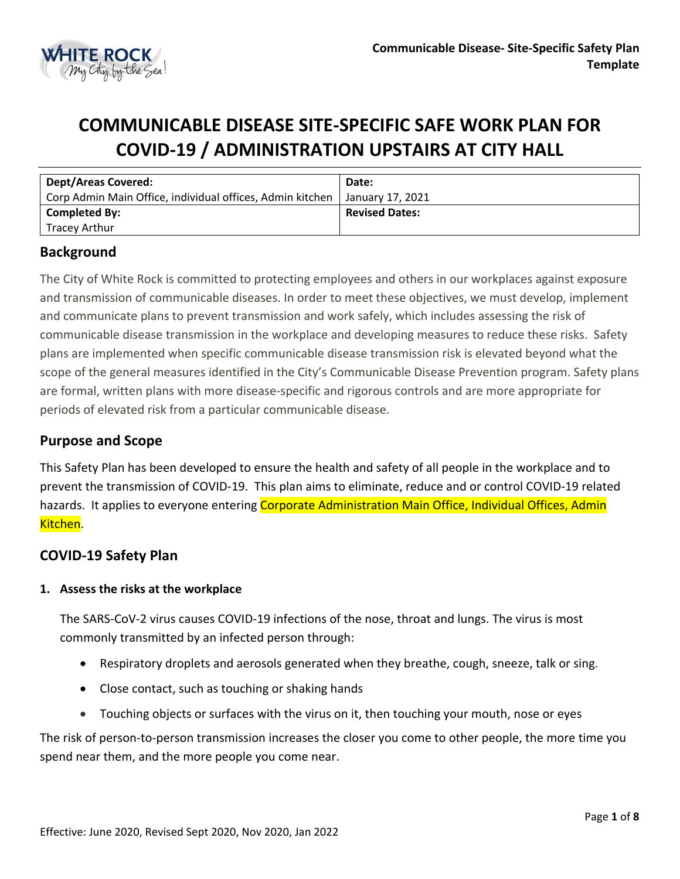

# **COMMUNICABLE DISEASE SITE-SPECIFIC SAFE WORK PLAN FOR COVID-19 / ADMINISTRATION UPSTAIRS AT CITY HALL**

| <b>Dept/Areas Covered:</b>                                | Date:                 |
|-----------------------------------------------------------|-----------------------|
| Corp Admin Main Office, individual offices, Admin kitchen | January 17. 2021      |
| <b>Completed By:</b>                                      | <b>Revised Dates:</b> |
| Tracey Arthur                                             |                       |

# **Background**

The City of White Rock is committed to protecting employees and others in our workplaces against exposure and transmission of communicable diseases. In order to meet these objectives, we must develop, implement and communicate plans to prevent transmission and work safely, which includes assessing the risk of communicable disease transmission in the workplace and developing measures to reduce these risks. Safety plans are implemented when specific communicable disease transmission risk is elevated beyond what the scope of the general measures identified in the City's Communicable Disease Prevention program. Safety plans are formal, written plans with more disease-specific and rigorous controls and are more appropriate for periods of elevated risk from a particular communicable disease.

## **Purpose and Scope**

This Safety Plan has been developed to ensure the health and safety of all people in the workplace and to prevent the transmission of COVID-19. This plan aims to eliminate, reduce and or control COVID-19 related hazards. It applies to everyone entering Corporate Administration Main Office, Individual Offices, Admin Kitchen.

# **COVID-19 Safety Plan**

#### **1. Assess the risks at the workplace**

The SARS-CoV-2 virus causes COVID-19 infections of the nose, throat and lungs. The virus is most commonly transmitted by an infected person through:

- Respiratory droplets and aerosols generated when they breathe, cough, sneeze, talk or sing.
- Close contact, such as touching or shaking hands
- Touching objects or surfaces with the virus on it, then touching your mouth, nose or eyes

The risk of person-to-person transmission increases the closer you come to other people, the more time you spend near them, and the more people you come near.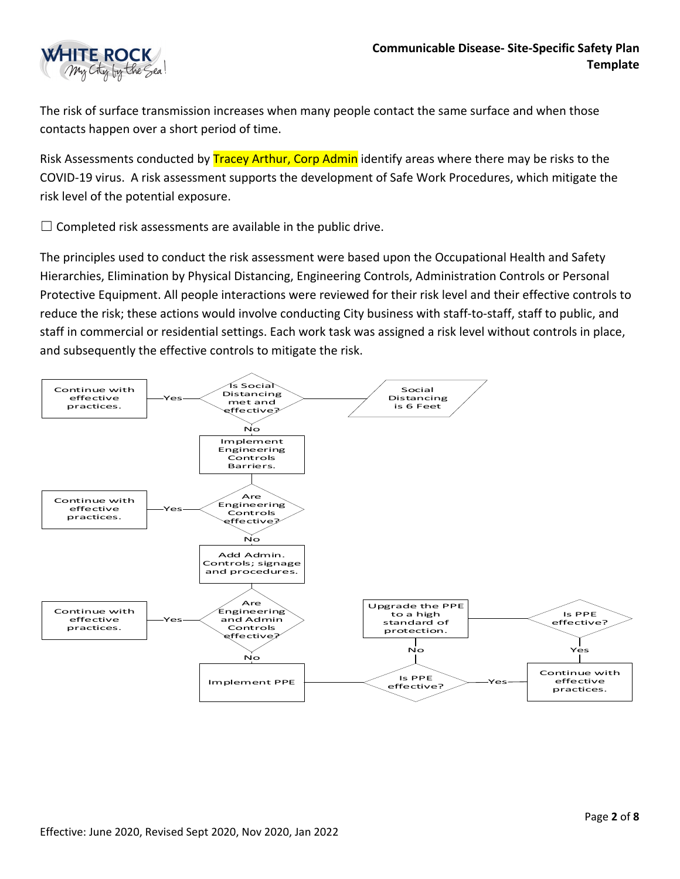

The risk of surface transmission increases when many people contact the same surface and when those contacts happen over a short period of time.

Risk Assessments conducted by **Tracey Arthur, Corp Admin** identify areas where there may be risks to the COVID-19 virus. A risk assessment supports the development of Safe Work Procedures, which mitigate the risk level of the potential exposure.

 $\Box$  Completed risk assessments are available in the public drive.

The principles used to conduct the risk assessment were based upon the Occupational Health and Safety Hierarchies, Elimination by Physical Distancing, Engineering Controls, Administration Controls or Personal Protective Equipment. All people interactions were reviewed for their risk level and their effective controls to reduce the risk; these actions would involve conducting City business with staff-to-staff, staff to public, and staff in commercial or residential settings. Each work task was assigned a risk level without controls in place, and subsequently the effective controls to mitigate the risk.

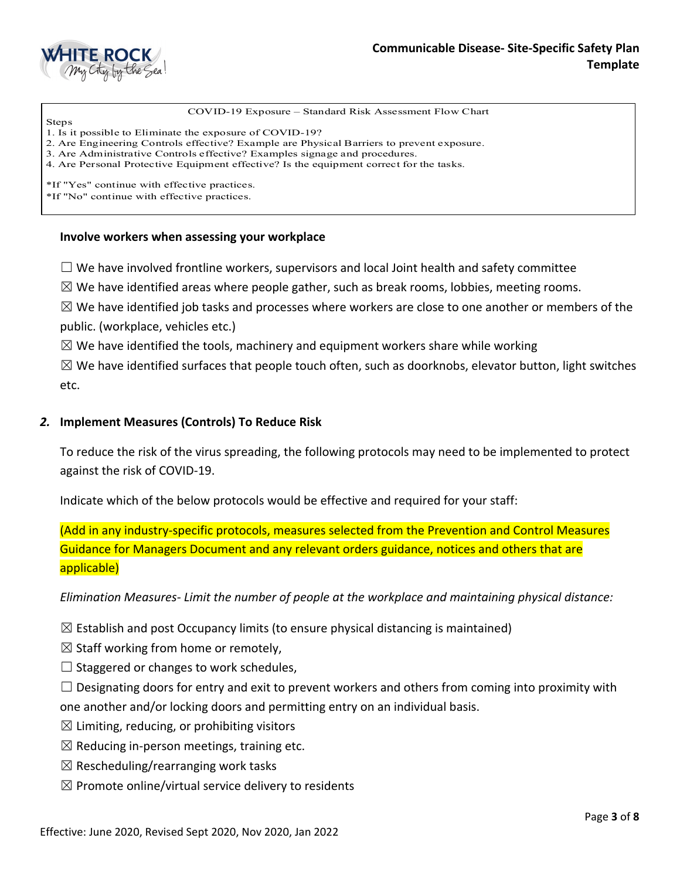

COVID-19 Exposure – Standard Risk Assessment Flow Chart

Steps 1. Is it possible to Eliminate the exposure of COVID-19?

2. Are Engineering Controls effective? Example are Physical Barriers to prevent exposure.

3. Are Administrative Controls effective? Examples signage and procedures.

4. Are Personal Protective Equipment effective? Is the equipment correct for the tasks.

\*If "Yes" continue with effective practices.

\*If "No" continue with effective practices.

#### **Involve workers when assessing your workplace**

 $\Box$  We have involved frontline workers, supervisors and local Joint health and safety committee

 $\boxtimes$  We have identified areas where people gather, such as break rooms, lobbies, meeting rooms.

 $\boxtimes$  We have identified job tasks and processes where workers are close to one another or members of the public. (workplace, vehicles etc.)

 $\boxtimes$  We have identified the tools, machinery and equipment workers share while working

 $\boxtimes$  We have identified surfaces that people touch often, such as doorknobs, elevator button, light switches etc.

#### *2.* **Implement Measures (Controls) To Reduce Risk**

To reduce the risk of the virus spreading, the following protocols may need to be implemented to protect against the risk of COVID-19.

Indicate which of the below protocols would be effective and required for your staff:

(Add in any industry-specific protocols, measures selected from the Prevention and Control Measures Guidance for Managers Document and any relevant orders guidance, notices and others that are applicable)

*Elimination Measures- Limit the number of people at the workplace and maintaining physical distance:* 

 $\boxtimes$  Establish and post Occupancy limits (to ensure physical distancing is maintained)

 $\boxtimes$  Staff working from home or remotely,

 $\Box$  Staggered or changes to work schedules,

 $\Box$  Designating doors for entry and exit to prevent workers and others from coming into proximity with one another and/or locking doors and permitting entry on an individual basis.

- $\boxtimes$  Limiting, reducing, or prohibiting visitors
- $\boxtimes$  Reducing in-person meetings, training etc.
- $\boxtimes$  Rescheduling/rearranging work tasks
- $\boxtimes$  Promote online/virtual service delivery to residents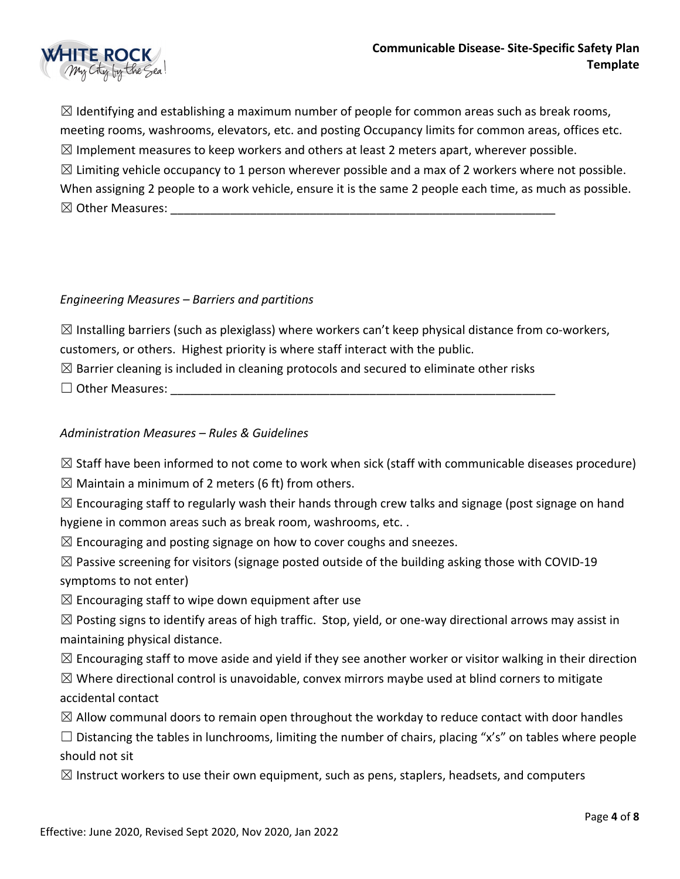

 $\boxtimes$  Identifying and establishing a maximum number of people for common areas such as break rooms, meeting rooms, washrooms, elevators, etc. and posting Occupancy limits for common areas, offices etc.  $\boxtimes$  Implement measures to keep workers and others at least 2 meters apart, wherever possible.  $\boxtimes$  Limiting vehicle occupancy to 1 person wherever possible and a max of 2 workers where not possible. When assigning 2 people to a work vehicle, ensure it is the same 2 people each time, as much as possible.  $\boxtimes$  Other Measures:

### *Engineering Measures – Barriers and partitions*

 $\boxtimes$  Installing barriers (such as plexiglass) where workers can't keep physical distance from co-workers, customers, or others. Highest priority is where staff interact with the public.

 $\boxtimes$  Barrier cleaning is included in cleaning protocols and secured to eliminate other risks

 $\Box$  Other Measures:

## *Administration Measures – Rules & Guidelines*

 $\boxtimes$  Staff have been informed to not come to work when sick (staff with communicable diseases procedure)

 $\boxtimes$  Maintain a minimum of 2 meters (6 ft) from others.

 $\boxtimes$  Encouraging staff to regularly wash their hands through crew talks and signage (post signage on hand hygiene in common areas such as break room, washrooms, etc. .

 $\boxtimes$  Encouraging and posting signage on how to cover coughs and sneezes.

 $\boxtimes$  Passive screening for visitors (signage posted outside of the building asking those with COVID-19 symptoms to not enter)

 $\boxtimes$  Encouraging staff to wipe down equipment after use

 $\boxtimes$  Posting signs to identify areas of high traffic. Stop, yield, or one-way directional arrows may assist in maintaining physical distance.

 $\boxtimes$  Encouraging staff to move aside and yield if they see another worker or visitor walking in their direction

 $\boxtimes$  Where directional control is unavoidable, convex mirrors maybe used at blind corners to mitigate accidental contact

 $\boxtimes$  Allow communal doors to remain open throughout the workday to reduce contact with door handles

 $\Box$  Distancing the tables in lunchrooms, limiting the number of chairs, placing "x's" on tables where people should not sit

 $\boxtimes$  Instruct workers to use their own equipment, such as pens, staplers, headsets, and computers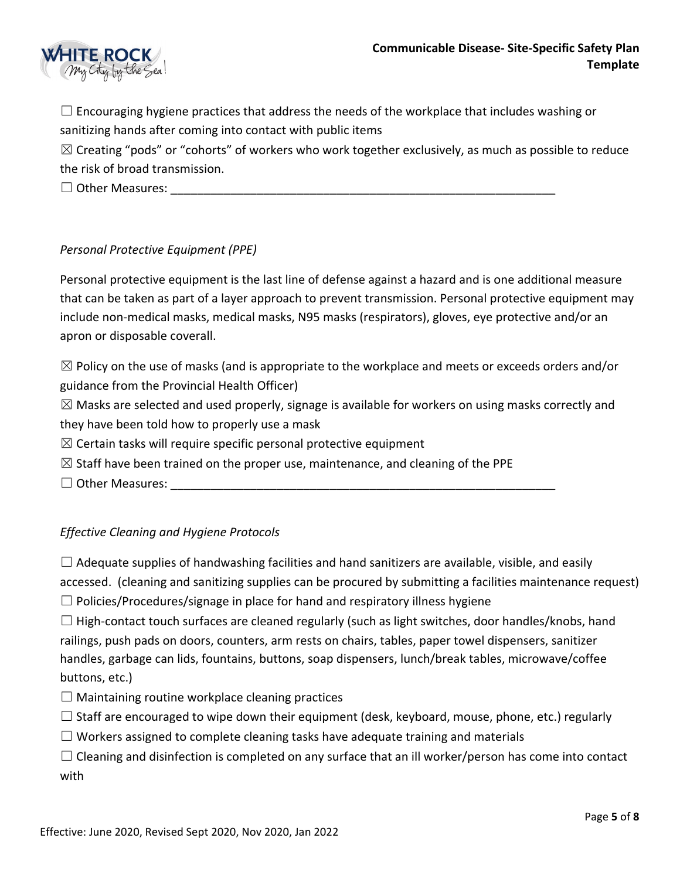

 $\Box$  Encouraging hygiene practices that address the needs of the workplace that includes washing or sanitizing hands after coming into contact with public items

 $\boxtimes$  Creating "pods" or "cohorts" of workers who work together exclusively, as much as possible to reduce the risk of broad transmission.

 $\Box$  Other Measures:

## *Personal Protective Equipment (PPE)*

Personal protective equipment is the last line of defense against a hazard and is one additional measure that can be taken as part of a layer approach to prevent transmission. Personal protective equipment may include non-medical masks, medical masks, N95 masks (respirators), gloves, eye protective and/or an apron or disposable coverall.

 $\boxtimes$  Policy on the use of masks (and is appropriate to the workplace and meets or exceeds orders and/or guidance from the Provincial Health Officer)

 $\boxtimes$  Masks are selected and used properly, signage is available for workers on using masks correctly and they have been told how to properly use a mask

 $\boxtimes$  Certain tasks will require specific personal protective equipment

 $\boxtimes$  Staff have been trained on the proper use, maintenance, and cleaning of the PPE

☐ Other Measures: \_\_\_\_\_\_\_\_\_\_\_\_\_\_\_\_\_\_\_\_\_\_\_\_\_\_\_\_\_\_\_\_\_\_\_\_\_\_\_\_\_\_\_\_\_\_\_\_\_\_\_\_\_\_\_\_\_\_

## *Effective Cleaning and Hygiene Protocols*

 $\Box$  Adequate supplies of handwashing facilities and hand sanitizers are available, visible, and easily accessed. (cleaning and sanitizing supplies can be procured by submitting a facilities maintenance request)

 $\Box$  Policies/Procedures/signage in place for hand and respiratory illness hygiene

 $\Box$  High-contact touch surfaces are cleaned regularly (such as light switches, door handles/knobs, hand railings, push pads on doors, counters, arm rests on chairs, tables, paper towel dispensers, sanitizer handles, garbage can lids, fountains, buttons, soap dispensers, lunch/break tables, microwave/coffee buttons, etc.)

- $\Box$  Maintaining routine workplace cleaning practices
- $\Box$  Staff are encouraged to wipe down their equipment (desk, keyboard, mouse, phone, etc.) regularly
- $\Box$  Workers assigned to complete cleaning tasks have adequate training and materials

 $\Box$  Cleaning and disinfection is completed on any surface that an ill worker/person has come into contact with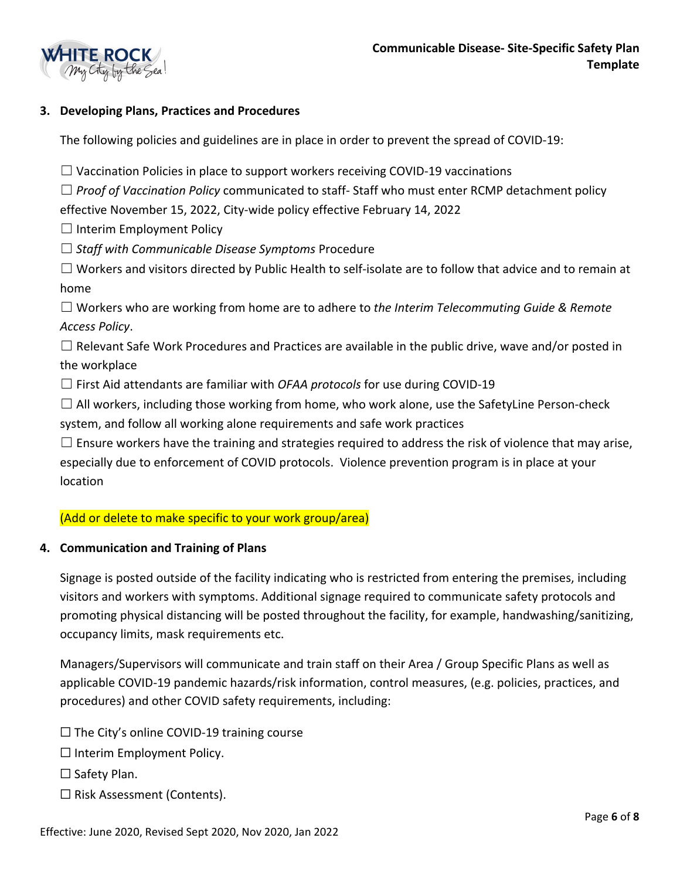

## **3. Developing Plans, Practices and Procedures**

The following policies and guidelines are in place in order to prevent the spread of COVID-19:

 $\Box$  Vaccination Policies in place to support workers receiving COVID-19 vaccinations

☐ *Proof of Vaccination Policy* communicated to staff- Staff who must enter RCMP detachment policy

effective November 15, 2022, City-wide policy effective February 14, 2022

 $\Box$  Interim Employment Policy

- ☐ *Staff with Communicable Disease Symptoms* Procedure
- ☐ Workers and visitors directed by Public Health to self-isolate are to follow that advice and to remain at home

☐ Workers who are working from home are to adhere to *the Interim Telecommuting Guide & Remote Access Policy*.

 $\Box$  Relevant Safe Work Procedures and Practices are available in the public drive, wave and/or posted in the workplace

☐ First Aid attendants are familiar with *OFAA protocols* for use during COVID-19

 $\square$  All workers, including those working from home, who work alone, use the SafetyLine Person-check

system, and follow all working alone requirements and safe work practices

 $\Box$  Ensure workers have the training and strategies required to address the risk of violence that may arise, especially due to enforcement of COVID protocols. Violence prevention program is in place at your location

#### (Add or delete to make specific to your work group/area)

#### **4. Communication and Training of Plans**

Signage is posted outside of the facility indicating who is restricted from entering the premises, including visitors and workers with symptoms. Additional signage required to communicate safety protocols and promoting physical distancing will be posted throughout the facility, for example, handwashing/sanitizing, occupancy limits, mask requirements etc.

Managers/Supervisors will communicate and train staff on their Area / Group Specific Plans as well as applicable COVID-19 pandemic hazards/risk information, control measures, (e.g. policies, practices, and procedures) and other COVID safety requirements, including:

 $\Box$  The City's online COVID-19 training course

☐ Interim Employment Policy.

□ Safety Plan.

☐ Risk Assessment (Contents).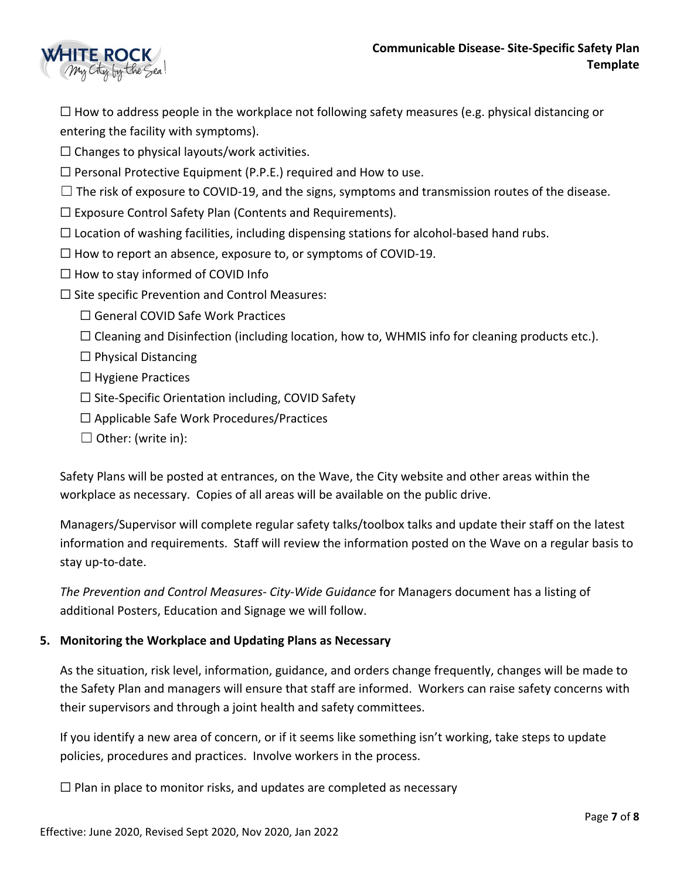

 $\Box$  How to address people in the workplace not following safety measures (e.g. physical distancing or entering the facility with symptoms).

 $\Box$  Changes to physical layouts/work activities.

 $\Box$  Personal Protective Equipment (P.P.E.) required and How to use.

 $\Box$  The risk of exposure to COVID-19, and the signs, symptoms and transmission routes of the disease.

☐ Exposure Control Safety Plan (Contents and Requirements).

 $\Box$  Location of washing facilities, including dispensing stations for alcohol-based hand rubs.

- $\Box$  How to report an absence, exposure to, or symptoms of COVID-19.
- $\Box$  How to stay informed of COVID Info
- $\Box$  Site specific Prevention and Control Measures:
	- □ General COVID Safe Work Practices
	- $\Box$  Cleaning and Disinfection (including location, how to, WHMIS info for cleaning products etc.).
	- $\Box$  Physical Distancing
	- ☐ Hygiene Practices
	- $\Box$  Site-Specific Orientation including, COVID Safety
	- ☐ Applicable Safe Work Procedures/Practices
	- $\Box$  Other: (write in):

Safety Plans will be posted at entrances, on the Wave, the City website and other areas within the workplace as necessary. Copies of all areas will be available on the public drive.

Managers/Supervisor will complete regular safety talks/toolbox talks and update their staff on the latest information and requirements. Staff will review the information posted on the Wave on a regular basis to stay up-to-date.

*The Prevention and Control Measures- City-Wide Guidance* for Managers document has a listing of additional Posters, Education and Signage we will follow.

## **5. Monitoring the Workplace and Updating Plans as Necessary**

As the situation, risk level, information, guidance, and orders change frequently, changes will be made to the Safety Plan and managers will ensure that staff are informed. Workers can raise safety concerns with their supervisors and through a joint health and safety committees.

If you identify a new area of concern, or if it seems like something isn't working, take steps to update policies, procedures and practices. Involve workers in the process.

 $\Box$  Plan in place to monitor risks, and updates are completed as necessary